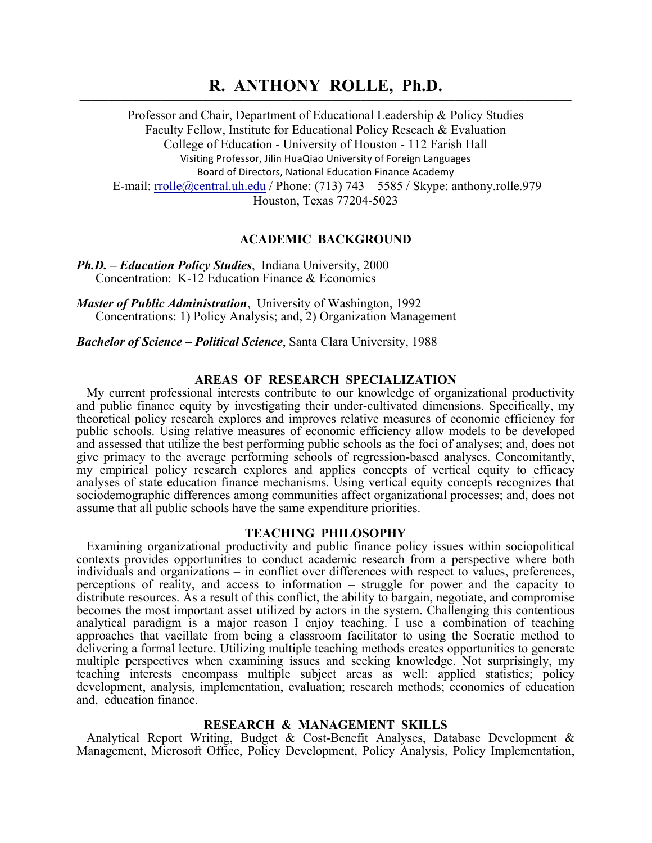# **R. ANTHONY ROLLE, Ph.D. \_\_\_\_\_\_\_\_\_\_\_\_\_\_\_\_\_\_\_\_\_\_\_\_\_\_\_\_\_\_\_\_\_\_\_\_\_\_\_\_\_\_\_\_\_\_\_\_\_\_\_\_\_\_\_\_\_\_\_\_\_\_\_\_\_\_\_\_\_\_\_\_\_\_\_\_\_\_\_\_\_\_\_\_**

Professor and Chair, Department of Educational Leadership & Policy Studies Faculty Fellow, Institute for Educational Policy Reseach & Evaluation College of Education - University of Houston - 112 Farish Hall Visiting Professor, Jilin HuaQiao University of Foreign Languages Board of Directors, National Education Finance Academy E-mail:  $rrolle@central.uh.edu/Phone: (713) 743 - 5585 / Skype: anthony. rolle.979$ Houston, Texas 77204-5023

# **ACADEMIC BACKGROUND**

*Ph.D. – Education Policy Studies*, Indiana University, 2000 Concentration: K-12 Education Finance & Economics

*Master of Public Administration*, University of Washington, 1992 Concentrations: 1) Policy Analysis; and, 2) Organization Management

*Bachelor of Science – Political Science*, Santa Clara University, 1988

### **AREAS OF RESEARCH SPECIALIZATION**

My current professional interests contribute to our knowledge of organizational productivity and public finance equity by investigating their under-cultivated dimensions. Specifically, my theoretical policy research explores and improves relative measures of economic efficiency for public schools. Using relative measures of economic efficiency allow models to be developed and assessed that utilize the best performing public schools as the foci of analyses; and, does not give primacy to the average performing schools of regression-based analyses. Concomitantly, my empirical policy research explores and applies concepts of vertical equity to efficacy analyses of state education finance mechanisms. Using vertical equity concepts recognizes that sociodemographic differences among communities affect organizational processes; and, does not assume that all public schools have the same expenditure priorities.

#### **TEACHING PHILOSOPHY**

Examining organizational productivity and public finance policy issues within sociopolitical contexts provides opportunities to conduct academic research from a perspective where both individuals and organizations – in conflict over differences with respect to values, preferences, perceptions of reality, and access to information – struggle for power and the capacity to distribute resources. As a result of this conflict, the ability to bargain, negotiate, and compromise becomes the most important asset utilized by actors in the system. Challenging this contentious analytical paradigm is a major reason I enjoy teaching. I use a combination of teaching approaches that vacillate from being a classroom facilitator to using the Socratic method to delivering a formal lecture. Utilizing multiple teaching methods creates opportunities to generate multiple perspectives when examining issues and seeking knowledge. Not surprisingly, my teaching interests encompass multiple subject areas as well: applied statistics; policy development, analysis, implementation, evaluation; research methods; economics of education and, education finance.

### **RESEARCH & MANAGEMENT SKILLS**

Analytical Report Writing, Budget & Cost-Benefit Analyses, Database Development & Management, Microsoft Office, Policy Development, Policy Analysis, Policy Implementation,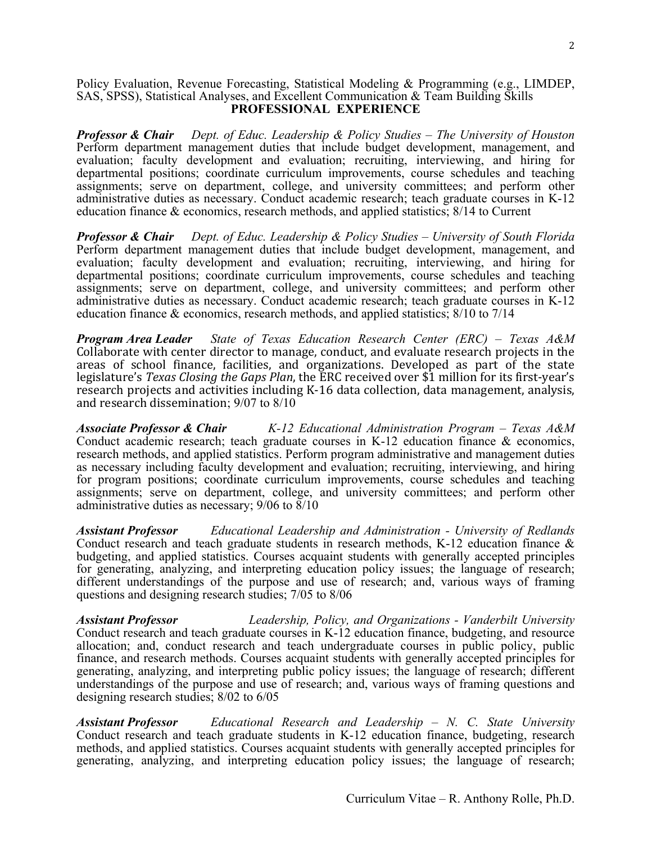### Policy Evaluation, Revenue Forecasting, Statistical Modeling & Programming (e.g., LIMDEP, SAS, SPSS), Statistical Analyses, and Excellent Communication & Team Building Skills **PROFESSIONAL EXPERIENCE**

*Professor & Chair Dept. of Educ. Leadership & Policy Studies – The University of Houston* Perform department management duties that include budget development, management, and evaluation; faculty development and evaluation; recruiting, interviewing, and hiring for departmental positions; coordinate curriculum improvements, course schedules and teaching assignments; serve on department, college, and university committees; and perform other administrative duties as necessary. Conduct academic research; teach graduate courses in K-12 education finance & economics, research methods, and applied statistics; 8/14 to Current

*Professor & Chair Dept. of Educ. Leadership & Policy Studies – University of South Florida*  Perform department management duties that include budget development, management, and evaluation; faculty development and evaluation; recruiting, interviewing, and hiring for departmental positions; coordinate curriculum improvements, course schedules and teaching assignments; serve on department, college, and university committees; and perform other administrative duties as necessary. Conduct academic research; teach graduate courses in K-12 education finance & economics, research methods, and applied statistics; 8/10 to 7/14

*Program Area Leader State of Texas Education Research Center (ERC) – Texas A&M*  Collaborate with center director to manage, conduct, and evaluate research projects in the areas of school finance, facilities, and organizations. Developed as part of the state legislature's *Texas Closing the Gaps Plan*, the ERC received over \$1 million for its first-year's research projects and activities including K-16 data collection, data management, analysis, and research dissemination; 9/07 to 8/10

*Associate Professor & Chair K-12 Educational Administration Program – Texas A&M*  Conduct academic research; teach graduate courses in K-12 education finance & economics, research methods, and applied statistics. Perform program administrative and management duties as necessary including faculty development and evaluation; recruiting, interviewing, and hiring for program positions; coordinate curriculum improvements, course schedules and teaching assignments; serve on department, college, and university committees; and perform other administrative duties as necessary;  $9/06$  to  $\frac{8}{10}$ 

*Assistant Professor Educational Leadership and Administration - University of Redlands*  Conduct research and teach graduate students in research methods, K-12 education finance & budgeting, and applied statistics. Courses acquaint students with generally accepted principles for generating, analyzing, and interpreting education policy issues; the language of research; different understandings of the purpose and use of research; and, various ways of framing questions and designing research studies; 7/05 to 8/06

*Assistant Professor Leadership, Policy, and Organizations - Vanderbilt University*  Conduct research and teach graduate courses in K-12 education finance, budgeting, and resource allocation; and, conduct research and teach undergraduate courses in public policy, public finance, and research methods. Courses acquaint students with generally accepted principles for generating, analyzing, and interpreting public policy issues; the language of research; different understandings of the purpose and use of research; and, various ways of framing questions and designing research studies; 8/02 to 6/05

*Assistant Professor Educational Research and Leadership – N. C. State University*  Conduct research and teach graduate students in K-12 education finance, budgeting, research methods, and applied statistics. Courses acquaint students with generally accepted principles for generating, analyzing, and interpreting education policy issues; the language of research;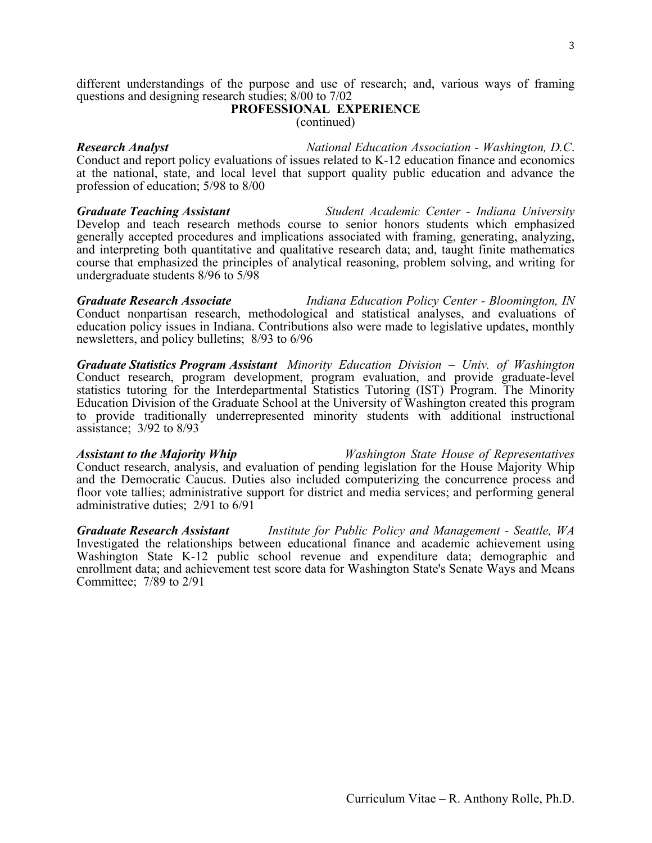different understandings of the purpose and use of research; and, various ways of framing questions and designing research studies; 8/00 to 7/02

### **PROFESSIONAL EXPERIENCE** (continued)

*Research Analyst National Education Association - Washington, D.C*. Conduct and report policy evaluations of issues related to K-12 education finance and economics at the national, state, and local level that support quality public education and advance the profession of education; 5/98 to 8/00

*Graduate Teaching Assistant Student Academic Center - Indiana University*  Develop and teach research methods course to senior honors students which emphasized generally accepted procedures and implications associated with framing, generating, analyzing, and interpreting both quantitative and qualitative research data; and, taught finite mathematics course that emphasized the principles of analytical reasoning, problem solving, and writing for undergraduate students 8/96 to 5/98

*Graduate Research Associate Indiana Education Policy Center - Bloomington, IN* Conduct nonpartisan research, methodological and statistical analyses, and evaluations of education policy issues in Indiana. Contributions also were made to legislative updates, monthly newsletters, and policy bulletins; 8/93 to 6/96

*Graduate Statistics Program Assistant Minority Education Division – Univ. of Washington*  Conduct research, program development, program evaluation, and provide graduate-level statistics tutoring for the Interdepartmental Statistics Tutoring (IST) Program. The Minority Education Division of the Graduate School at the University of Washington created this program to provide traditionally underrepresented minority students with additional instructional assistance; 3/92 to 8/93

*Assistant to the Majority Whip Washington State House of Representatives*  Conduct research, analysis, and evaluation of pending legislation for the House Majority Whip and the Democratic Caucus. Duties also included computerizing the concurrence process and floor vote tallies; administrative support for district and media services; and performing general administrative duties; 2/91 to 6/91

*Graduate Research Assistant Institute for Public Policy and Management - Seattle, WA*  Investigated the relationships between educational finance and academic achievement using Washington State K-12 public school revenue and expenditure data; demographic and enrollment data; and achievement test score data for Washington State's Senate Ways and Means Committee; 7/89 to 2/91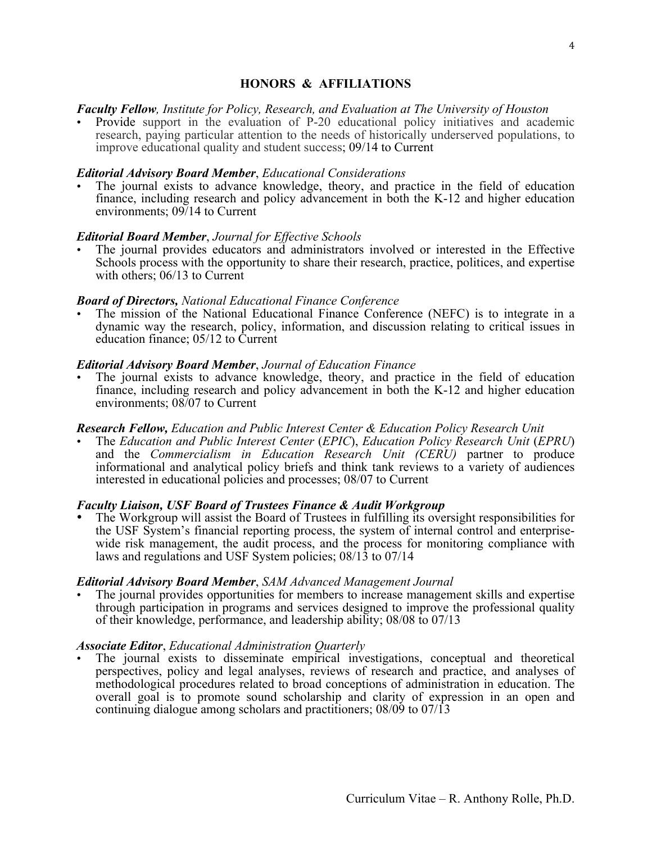# **HONORS & AFFILIATIONS**

### *Faculty Fellow, Institute for Policy, Research, and Evaluation at The University of Houston*

• Provide support in the evaluation of P-20 educational policy initiatives and academic research, paying particular attention to the needs of historically underserved populations, to improve educational quality and student success; 09/14 to Current

### *Editorial Advisory Board Member*, *Educational Considerations*

The journal exists to advance knowledge, theory, and practice in the field of education finance, including research and policy advancement in both the K-12 and higher education environments; 09/14 to Current

# *Editorial Board Member*, *Journal for Effective Schools*

• The journal provides educators and administrators involved or interested in the Effective Schools process with the opportunity to share their research, practice, politices, and expertise with others; 06/13 to Current

### *Board of Directors, National Educational Finance Conference*

• The mission of the National Educational Finance Conference (NEFC) is to integrate in a dynamic way the research, policy, information, and discussion relating to critical issues in education finance; 05/12 to Current

### *Editorial Advisory Board Member*, *Journal of Education Finance*

The journal exists to advance knowledge, theory, and practice in the field of education finance, including research and policy advancement in both the K-12 and higher education environments; 08/07 to Current

#### *Research Fellow, Education and Public Interest Center & Education Policy Research Unit*

• The *Education and Public Interest Center* (*EPIC*), *Education Policy Research Unit* (*EPRU*) and the *Commercialism in Education Research Unit (CERU)* partner to produce informational and analytical policy briefs and think tank reviews to a variety of audiences interested in educational policies and processes; 08/07 to Current

### *Faculty Liaison, USF Board of Trustees Finance & Audit Workgroup*

• The Workgroup will assist the Board of Trustees in fulfilling its oversight responsibilities for the USF System's financial reporting process, the system of internal control and enterprisewide risk management, the audit process, and the process for monitoring compliance with laws and regulations and USF System policies; 08/13 to 07/14

### *Editorial Advisory Board Member*, *SAM Advanced Management Journal*

• The journal provides opportunities for members to increase management skills and expertise through participation in programs and services designed to improve the professional quality of their knowledge, performance, and leadership ability; 08/08 to 07/13

# *Associate Editor*, *Educational Administration Quarterly*

• The journal exists to disseminate empirical investigations, conceptual and theoretical perspectives, policy and legal analyses, reviews of research and practice, and analyses of methodological procedures related to broad conceptions of administration in education. The overall goal is to promote sound scholarship and clarity of expression in an open and continuing dialogue among scholars and practitioners; 08/09 to 07/13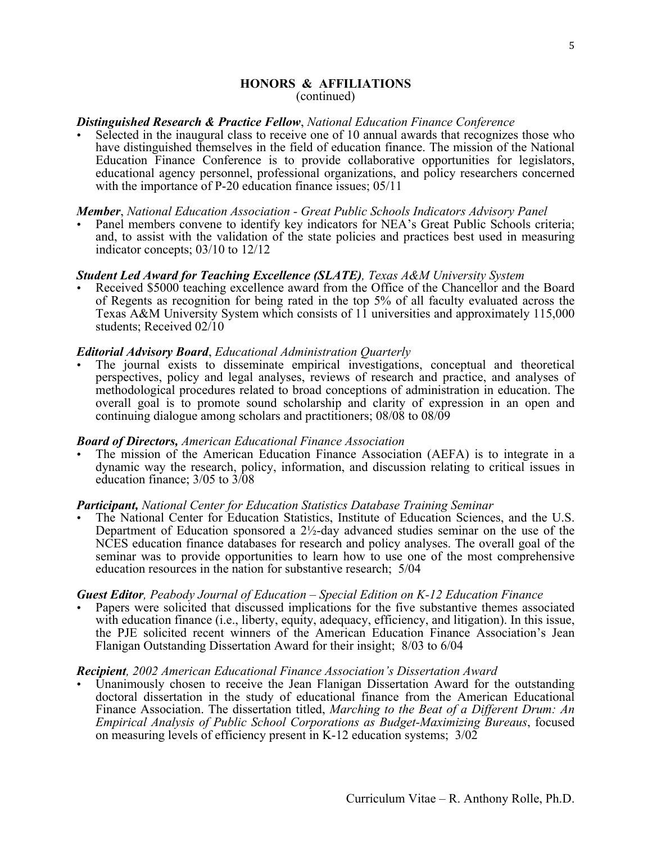### **HONORS & AFFILIATIONS** (continued)

### *Distinguished Research & Practice Fellow*, *National Education Finance Conference*

• Selected in the inaugural class to receive one of 10 annual awards that recognizes those who have distinguished themselves in the field of education finance. The mission of the National Education Finance Conference is to provide collaborative opportunities for legislators, educational agency personnel, professional organizations, and policy researchers concerned with the importance of P-20 education finance issues; 05/11

### *Member*, *National Education Association - Great Public Schools Indicators Advisory Panel*

Panel members convene to identify key indicators for NEA's Great Public Schools criteria; and, to assist with the validation of the state policies and practices best used in measuring indicator concepts; 03/10 to 12/12

### *Student Led Award for Teaching Excellence (SLATE), Texas A&M University System*

• Received \$5000 teaching excellence award from the Office of the Chancellor and the Board of Regents as recognition for being rated in the top 5% of all faculty evaluated across the Texas A&M University System which consists of 11 universities and approximately 115,000 students; Received 02/10

### *Editorial Advisory Board*, *Educational Administration Quarterly*

• The journal exists to disseminate empirical investigations, conceptual and theoretical perspectives, policy and legal analyses, reviews of research and practice, and analyses of methodological procedures related to broad conceptions of administration in education. The overall goal is to promote sound scholarship and clarity of expression in an open and continuing dialogue among scholars and practitioners; 08/08 to 08/09

### *Board of Directors, American Educational Finance Association*

• The mission of the American Education Finance Association (AEFA) is to integrate in a dynamic way the research, policy, information, and discussion relating to critical issues in education finance; 3/05 to 3/08

### *Participant, National Center for Education Statistics Database Training Seminar*

The National Center for Education Statistics, Institute of Education Sciences, and the U.S. Department of Education sponsored a  $2\frac{1}{2}$ -day advanced studies seminar on the use of the NCES education finance databases for research and policy analyses. The overall goal of the seminar was to provide opportunities to learn how to use one of the most comprehensive education resources in the nation for substantive research; 5/04

### *Guest Editor, Peabody Journal of Education – Special Edition on K-12 Education Finance*

• Papers were solicited that discussed implications for the five substantive themes associated with education finance (i.e., liberty, equity, adequacy, efficiency, and litigation). In this issue, the PJE solicited recent winners of the American Education Finance Association's Jean Flanigan Outstanding Dissertation Award for their insight; 8/03 to 6/04

#### *Recipient, 2002 American Educational Finance Association's Dissertation Award*

Unanimously chosen to receive the Jean Flanigan Dissertation Award for the outstanding doctoral dissertation in the study of educational finance from the American Educational Finance Association. The dissertation titled, *Marching to the Beat of a Different Drum: An Empirical Analysis of Public School Corporations as Budget-Maximizing Bureaus*, focused on measuring levels of efficiency present in K-12 education systems; 3/02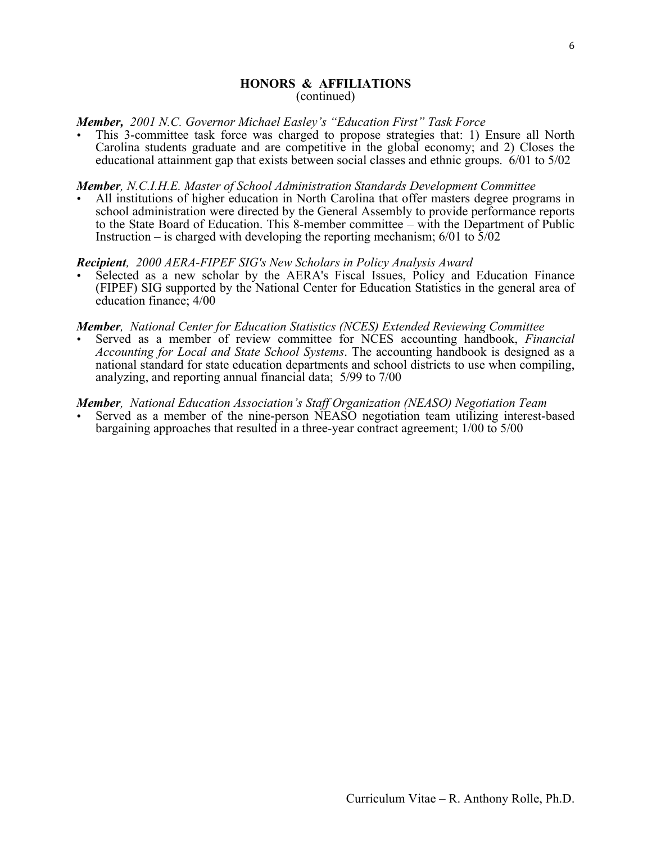### **HONORS & AFFILIATIONS** (continued)

# *Member, 2001 N.C. Governor Michael Easley's "Education First" Task Force*

• This 3-committee task force was charged to propose strategies that: 1) Ensure all North Carolina students graduate and are competitive in the global economy; and 2) Closes the educational attainment gap that exists between social classes and ethnic groups. 6/01 to 5/02

### *Member, N.C.I.H.E. Master of School Administration Standards Development Committee*

• All institutions of higher education in North Carolina that offer masters degree programs in school administration were directed by the General Assembly to provide performance reports to the State Board of Education. This 8-member committee – with the Department of Public Instruction – is charged with developing the reporting mechanism;  $6/01$  to  $\frac{5}{02}$ 

### *Recipient, 2000 AERA-FIPEF SIG's New Scholars in Policy Analysis Award*

Selected as a new scholar by the AERA's Fiscal Issues, Policy and Education Finance (FIPEF) SIG supported by the National Center for Education Statistics in the general area of education finance; 4/00

#### *Member, National Center for Education Statistics (NCES) Extended Reviewing Committee*

• Served as a member of review committee for NCES accounting handbook, *Financial Accounting for Local and State School Systems*. The accounting handbook is designed as a national standard for state education departments and school districts to use when compiling, analyzing, and reporting annual financial data; 5/99 to 7/00

*Member, National Education Association's Staff Organization (NEASO) Negotiation Team*

Served as a member of the nine-person NEASO negotiation team utilizing interest-based bargaining approaches that resulted in a three-year contract agreement; 1/00 to 5/00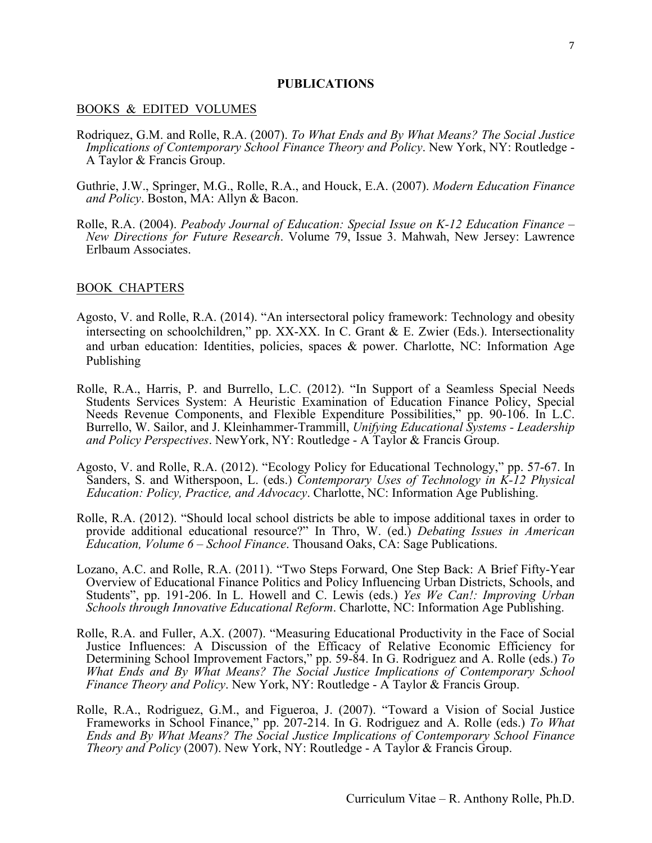#### **PUBLICATIONS**

#### BOOKS & EDITED VOLUMES

- Rodriquez, G.M. and Rolle, R.A. (2007). *To What Ends and By What Means? The Social Justice Implications of Contemporary School Finance Theory and Policy*. New York, NY: Routledge - A Taylor & Francis Group.
- Guthrie, J.W., Springer, M.G., Rolle, R.A., and Houck, E.A. (2007). *Modern Education Finance and Policy*. Boston, MA: Allyn & Bacon.
- Rolle, R.A. (2004). *Peabody Journal of Education: Special Issue on K-12 Education Finance – New Directions for Future Research*. Volume 79, Issue 3. Mahwah, New Jersey: Lawrence Erlbaum Associates.

### BOOK CHAPTERS

- Agosto, V. and Rolle, R.A. (2014). "An intersectoral policy framework: Technology and obesity intersecting on schoolchildren," pp. XX-XX. In C. Grant & E. Zwier (Eds.). Intersectionality and urban education: Identities, policies, spaces & power. Charlotte, NC: Information Age Publishing
- Rolle, R.A., Harris, P. and Burrello, L.C. (2012). "In Support of a Seamless Special Needs Students Services System: A Heuristic Examination of Education Finance Policy, Special Needs Revenue Components, and Flexible Expenditure Possibilities," pp. 90-106. In L.C. Burrello, W. Sailor, and J. Kleinhammer-Trammill, *Unifying Educational Systems - Leadership and Policy Perspectives*. NewYork, NY: Routledge - A Taylor & Francis Group.
- Agosto, V. and Rolle, R.A. (2012). "Ecology Policy for Educational Technology," pp. 57-67. In Sanders, S. and Witherspoon, L. (eds.) *Contemporary Uses of Technology in K-12 Physical Education: Policy, Practice, and Advocacy*. Charlotte, NC: Information Age Publishing.
- Rolle, R.A. (2012). "Should local school districts be able to impose additional taxes in order to provide additional educational resource?" In Thro, W. (ed.) *Debating Issues in American Education, Volume 6 – School Finance*. Thousand Oaks, CA: Sage Publications.
- Lozano, A.C. and Rolle, R.A. (2011). "Two Steps Forward, One Step Back: A Brief Fifty-Year Overview of Educational Finance Politics and Policy Influencing Urban Districts, Schools, and Students", pp. 191-206. In L. Howell and C. Lewis (eds.) *Yes We Can!: Improving Urban Schools through Innovative Educational Reform*. Charlotte, NC: Information Age Publishing.
- Rolle, R.A. and Fuller, A.X. (2007). "Measuring Educational Productivity in the Face of Social Justice Influences: A Discussion of the Efficacy of Relative Economic Efficiency for Determining School Improvement Factors," pp. 59-84. In G. Rodriguez and A. Rolle (eds.) *To What Ends and By What Means? The Social Justice Implications of Contemporary School Finance Theory and Policy*. New York, NY: Routledge - A Taylor & Francis Group.
- Rolle, R.A., Rodriguez, G.M., and Figueroa, J. (2007). "Toward a Vision of Social Justice Frameworks in School Finance," pp. 207-214. In G. Rodriguez and A. Rolle (eds.) *To What Ends and By What Means? The Social Justice Implications of Contemporary School Finance Theory and Policy* (2007). New York, NY: Routledge - A Taylor & Francis Group.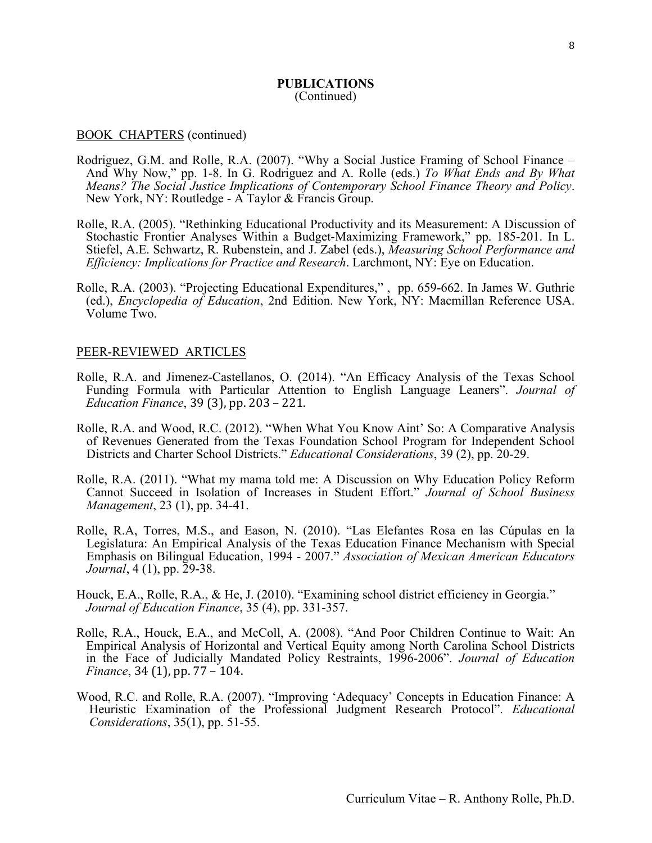#### BOOK CHAPTERS (continued)

- Rodriguez, G.M. and Rolle, R.A. (2007). "Why a Social Justice Framing of School Finance And Why Now," pp. 1-8. In G. Rodriguez and A. Rolle (eds.) *To What Ends and By What Means? The Social Justice Implications of Contemporary School Finance Theory and Policy*. New York, NY: Routledge - A Taylor & Francis Group.
- Rolle, R.A. (2005). "Rethinking Educational Productivity and its Measurement: A Discussion of Stochastic Frontier Analyses Within a Budget-Maximizing Framework," pp. 185-201. In L. Stiefel, A.E. Schwartz, R. Rubenstein, and J. Zabel (eds.), *Measuring School Performance and Efficiency: Implications for Practice and Research*. Larchmont, NY: Eye on Education.
- Rolle, R.A. (2003). "Projecting Educational Expenditures," , pp. 659-662. In James W. Guthrie (ed.), *Encyclopedia of Education*, 2nd Edition. New York, NY: Macmillan Reference USA. Volume Two.

#### PEER-REVIEWED ARTICLES

- Rolle, R.A. and Jimenez-Castellanos, O. (2014). "An Efficacy Analysis of the Texas School Funding Formula with Particular Attention to English Language Leaners". *Journal of Education Finance*, 39 (3), pp. 203 – 221.
- Rolle, R.A. and Wood, R.C. (2012). "When What You Know Aint' So: A Comparative Analysis of Revenues Generated from the Texas Foundation School Program for Independent School Districts and Charter School Districts." *Educational Considerations*, 39 (2), pp. 20-29.
- Rolle, R.A. (2011). "What my mama told me: A Discussion on Why Education Policy Reform Cannot Succeed in Isolation of Increases in Student Effort." *Journal of School Business Management*, 23 (1), pp. 34-41.
- Rolle, R.A, Torres, M.S., and Eason, N. (2010). "Las Elefantes Rosa en las Cúpulas en la Legislatura: An Empirical Analysis of the Texas Education Finance Mechanism with Special Emphasis on Bilingual Education, 1994 - 2007." *Association of Mexican American Educators Journal*, 4 (1), pp. 29-38.
- Houck, E.A., Rolle, R.A., & He, J. (2010). "Examining school district efficiency in Georgia." *Journal of Education Finance*, 35 (4), pp. 331-357.
- Rolle, R.A., Houck, E.A., and McColl, A. (2008). "And Poor Children Continue to Wait: An Empirical Analysis of Horizontal and Vertical Equity among North Carolina School Districts in the Face of Judicially Mandated Policy Restraints, 1996-2006". *Journal of Education Finance*, 34 (1), pp. 77 – 104.
- Wood, R.C. and Rolle, R.A. (2007). "Improving 'Adequacy' Concepts in Education Finance: A Heuristic Examination of the Professional Judgment Research Protocol". *Educational Considerations*, 35(1), pp. 51-55.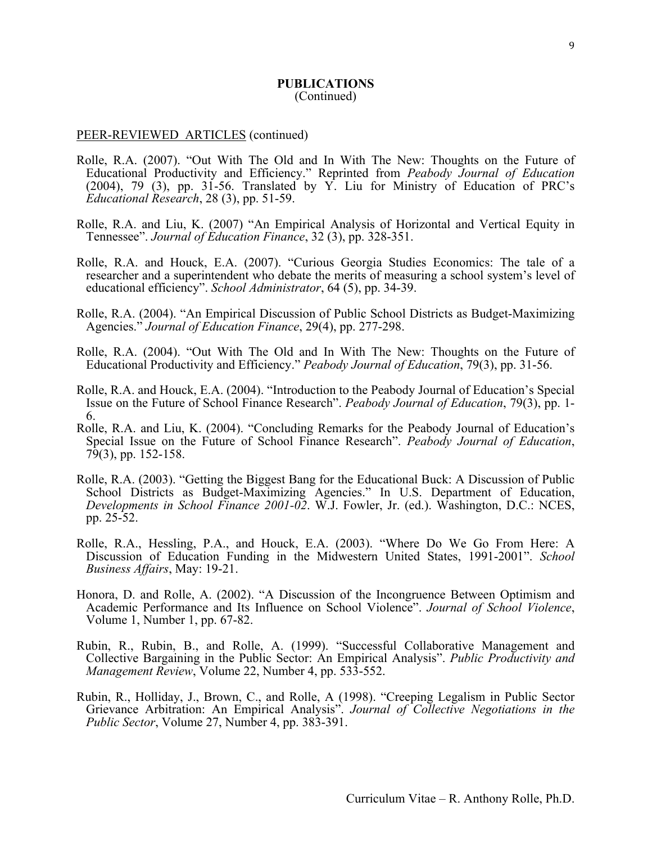#### PEER-REVIEWED ARTICLES (continued)

- Rolle, R.A. (2007). "Out With The Old and In With The New: Thoughts on the Future of Educational Productivity and Efficiency." Reprinted from *Peabody Journal of Education* (2004), 79 (3), pp. 31-56. Translated by Y. Liu for Ministry of Education of PRC's *Educational Research*, 28 (3), pp. 51-59.
- Rolle, R.A. and Liu, K. (2007) "An Empirical Analysis of Horizontal and Vertical Equity in Tennessee". *Journal of Education Finance*, 32 (3), pp. 328-351.
- Rolle, R.A. and Houck, E.A. (2007). "Curious Georgia Studies Economics: The tale of a researcher and a superintendent who debate the merits of measuring a school system's level of educational efficiency". *School Administrator*, 64 (5), pp. 34-39.
- Rolle, R.A. (2004). "An Empirical Discussion of Public School Districts as Budget-Maximizing Agencies." *Journal of Education Finance*, 29(4), pp. 277-298.
- Rolle, R.A. (2004). "Out With The Old and In With The New: Thoughts on the Future of Educational Productivity and Efficiency." *Peabody Journal of Education*, 79(3), pp. 31-56.
- Rolle, R.A. and Houck, E.A. (2004). "Introduction to the Peabody Journal of Education's Special Issue on the Future of School Finance Research". *Peabody Journal of Education*, 79(3), pp. 1- 6.
- Rolle, R.A. and Liu, K. (2004). "Concluding Remarks for the Peabody Journal of Education's Special Issue on the Future of School Finance Research". *Peabody Journal of Education*, 79(3), pp. 152-158.
- Rolle, R.A. (2003). "Getting the Biggest Bang for the Educational Buck: A Discussion of Public School Districts as Budget-Maximizing Agencies." In U.S. Department of Education, *Developments in School Finance 2001-02*. W.J. Fowler, Jr. (ed.). Washington, D.C.: NCES, pp. 25-52.
- Rolle, R.A., Hessling, P.A., and Houck, E.A. (2003). "Where Do We Go From Here: A Discussion of Education Funding in the Midwestern United States, 1991-2001". *School Business Affairs*, May: 19-21.
- Honora, D. and Rolle, A. (2002). "A Discussion of the Incongruence Between Optimism and Academic Performance and Its Influence on School Violence". *Journal of School Violence*, Volume 1, Number 1, pp. 67-82.
- Rubin, R., Rubin, B., and Rolle, A. (1999). "Successful Collaborative Management and Collective Bargaining in the Public Sector: An Empirical Analysis". *Public Productivity and Management Review*, Volume 22, Number 4, pp. 533-552.
- Rubin, R., Holliday, J., Brown, C., and Rolle, A (1998). "Creeping Legalism in Public Sector Grievance Arbitration: An Empirical Analysis". *Journal of Collective Negotiations in the Public Sector*, Volume 27, Number 4, pp. 383-391.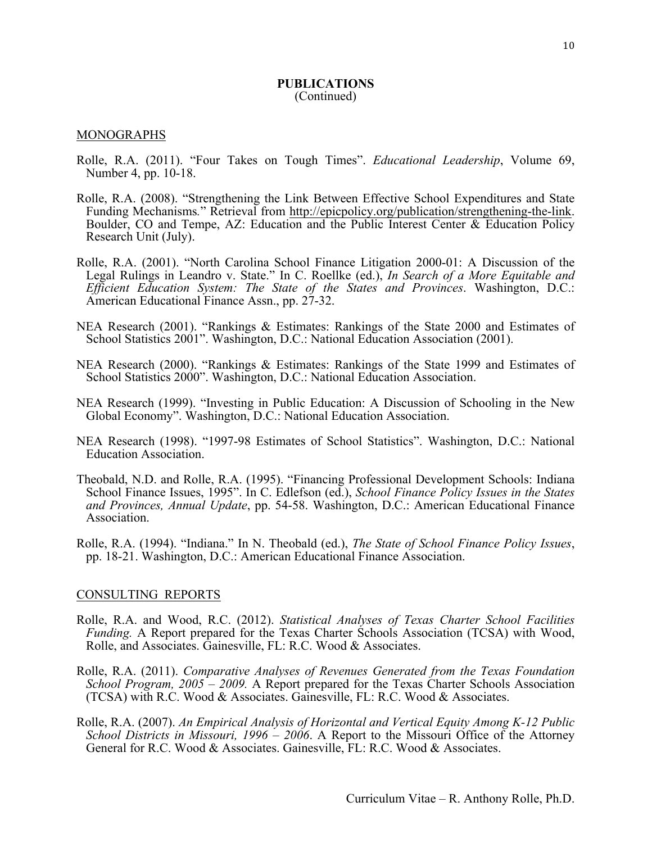#### MONOGRAPHS

- Rolle, R.A. (2011). "Four Takes on Tough Times". *Educational Leadership*, Volume 69, Number 4, pp. 10-18.
- Rolle, R.A. (2008). "Strengthening the Link Between Effective School Expenditures and State Funding Mechanisms*.*" Retrieval from http://epicpolicy.org/publication/strengthening-the-link. Boulder, CO and Tempe, AZ: Education and the Public Interest Center & Education Policy Research Unit (July).
- Rolle, R.A. (2001). "North Carolina School Finance Litigation 2000-01: A Discussion of the Legal Rulings in Leandro v. State." In C. Roellke (ed.), *In Search of a More Equitable and Efficient Education System: The State of the States and Provinces*. Washington, D.C.: American Educational Finance Assn., pp. 27-32.
- NEA Research (2001). "Rankings & Estimates: Rankings of the State 2000 and Estimates of School Statistics 2001". Washington, D.C.: National Education Association (2001).
- NEA Research (2000). "Rankings & Estimates: Rankings of the State 1999 and Estimates of School Statistics 2000". Washington, D.C.: National Education Association.
- NEA Research (1999). "Investing in Public Education: A Discussion of Schooling in the New Global Economy". Washington, D.C.: National Education Association.
- NEA Research (1998). "1997-98 Estimates of School Statistics". Washington, D.C.: National Education Association.
- Theobald, N.D. and Rolle, R.A. (1995). "Financing Professional Development Schools: Indiana School Finance Issues, 1995". In C. Edlefson (ed.), *School Finance Policy Issues in the States and Provinces, Annual Update*, pp. 54-58. Washington, D.C.: American Educational Finance Association.
- Rolle, R.A. (1994). "Indiana." In N. Theobald (ed.), *The State of School Finance Policy Issues*, pp. 18-21. Washington, D.C.: American Educational Finance Association.

#### CONSULTING REPORTS

- Rolle, R.A. and Wood, R.C. (2012). *Statistical Analyses of Texas Charter School Facilities Funding.* A Report prepared for the Texas Charter Schools Association (TCSA) with Wood, Rolle, and Associates. Gainesville, FL: R.C. Wood & Associates.
- Rolle, R.A. (2011). *Comparative Analyses of Revenues Generated from the Texas Foundation School Program, 2005 – 2009.* A Report prepared for the Texas Charter Schools Association (TCSA) with R.C. Wood & Associates. Gainesville, FL: R.C. Wood & Associates.
- Rolle, R.A. (2007). *An Empirical Analysis of Horizontal and Vertical Equity Among K-12 Public School Districts in Missouri, 1996 – 2006*. A Report to the Missouri Office of the Attorney General for R.C. Wood & Associates. Gainesville, FL: R.C. Wood & Associates.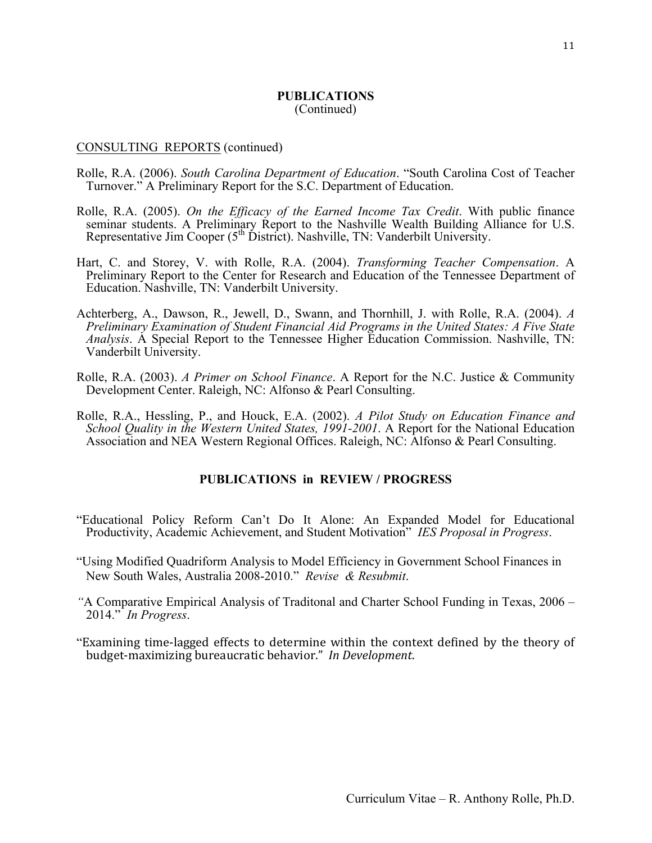#### CONSULTING REPORTS (continued)

- Rolle, R.A. (2006). *South Carolina Department of Education*. "South Carolina Cost of Teacher Turnover." A Preliminary Report for the S.C. Department of Education.
- Rolle, R.A. (2005). *On the Efficacy of the Earned Income Tax Credit*. With public finance seminar students. A Preliminary Report to the Nashville Wealth Building Alliance for U.S. Representative Jim Cooper ( $5<sup>th</sup>$  District). Nashville, TN: Vanderbilt University.
- Hart, C. and Storey, V. with Rolle, R.A. (2004). *Transforming Teacher Compensation*. A Preliminary Report to the Center for Research and Education of the Tennessee Department of Education. Nashville, TN: Vanderbilt University.
- Achterberg, A., Dawson, R., Jewell, D., Swann, and Thornhill, J. with Rolle, R.A. (2004). *A Preliminary Examination of Student Financial Aid Programs in the United States: A Five State Analysis*. A Special Report to the Tennessee Higher Education Commission. Nashville, TN: Vanderbilt University.
- Rolle, R.A. (2003). *A Primer on School Finance*. A Report for the N.C. Justice & Community Development Center. Raleigh, NC: Alfonso & Pearl Consulting.
- Rolle, R.A., Hessling, P., and Houck, E.A. (2002). *A Pilot Study on Education Finance and School Quality in the Western United States, 1991-2001*. A Report for the National Education Association and NEA Western Regional Offices. Raleigh, NC: Alfonso & Pearl Consulting.

### **PUBLICATIONS in REVIEW / PROGRESS**

- "Educational Policy Reform Can't Do It Alone: An Expanded Model for Educational Productivity, Academic Achievement, and Student Motivation" *IES Proposal in Progress*.
- "Using Modified Quadriform Analysis to Model Efficiency in Government School Finances in New South Wales, Australia 2008-2010." *Revise & Resubmit*.
- *"*A Comparative Empirical Analysis of Traditonal and Charter School Funding in Texas, 2006 2014." *In Progress*.
- "Examining time-lagged effects to determine within the context defined by the theory of budget-maximizing bureaucratic behavior." *In Development*.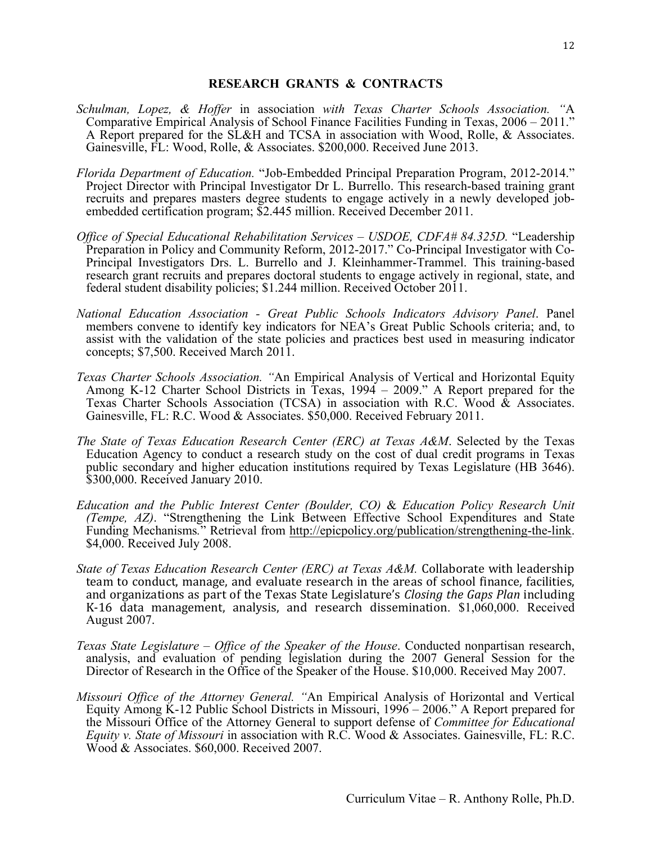### **RESEARCH GRANTS & CONTRACTS**

- *Schulman, Lopez, & Hoffer* in association *with Texas Charter Schools Association. "*A Comparative Empirical Analysis of School Finance Facilities Funding in Texas, 2006 – 2011." A Report prepared for the SL&H and TCSA in association with Wood, Rolle, & Associates. Gainesville, FL: Wood, Rolle, & Associates. \$200,000. Received June 2013.
- *Florida Department of Education.* "Job-Embedded Principal Preparation Program, 2012-2014." Project Director with Principal Investigator Dr L. Burrello. This research-based training grant recruits and prepares masters degree students to engage actively in a newly developed jobembedded certification program; \$2.445 million. Received December 2011.
- *Office of Special Educational Rehabilitation Services – USDOE, CDFA# 84.325D.* "Leadership Preparation in Policy and Community Reform, 2012-2017." Co-Principal Investigator with Co-Principal Investigators Drs. L. Burrello and J. Kleinhammer-Trammel. This training-based research grant recruits and prepares doctoral students to engage actively in regional, state, and federal student disability policies; \$1.244 million. Received October 2011.
- *National Education Association - Great Public Schools Indicators Advisory Panel*. Panel members convene to identify key indicators for NEA's Great Public Schools criteria; and, to assist with the validation of the state policies and practices best used in measuring indicator concepts; \$7,500. Received March 2011.
- *Texas Charter Schools Association. "*An Empirical Analysis of Vertical and Horizontal Equity Among K-12 Charter School Districts in Texas, 1994 – 2009." A Report prepared for the Texas Charter Schools Association (TCSA) in association with R.C. Wood & Associates. Gainesville, FL: R.C. Wood & Associates. \$50,000. Received February 2011.
- *The State of Texas Education Research Center (ERC) at Texas A&M*. Selected by the Texas Education Agency to conduct a research study on the cost of dual credit programs in Texas public secondary and higher education institutions required by Texas Legislature (HB 3646). \$300,000. Received January 2010.
- *Education and the Public Interest Center (Boulder, CO)* & *Education Policy Research Unit (Tempe, AZ)*. "Strengthening the Link Between Effective School Expenditures and State Funding Mechanisms*.*" Retrieval from http://epicpolicy.org/publication/strengthening-the-link. \$4,000. Received July 2008.
- *State of Texas Education Research Center (ERC) at Texas A&M.* Collaborate with leadership team to conduct, manage, and evaluate research in the areas of school finance, facilities, and organizations as part of the Texas State Legislature's *Closing the Gaps Plan* including K-16 data management, analysis, and research dissemination. \$1,060,000. Received August 2007.
- *Texas State Legislature – Office of the Speaker of the House*. Conducted nonpartisan research, analysis, and evaluation of pending legislation during the 2007 General Session for the Director of Research in the Office of the Speaker of the House. \$10,000. Received May 2007.
- *Missouri Office of the Attorney General. "*An Empirical Analysis of Horizontal and Vertical Equity Among K-12 Public School Districts in Missouri, 1996 – 2006." A Report prepared for the Missouri Office of the Attorney General to support defense of *Committee for Educational Equity v. State of Missouri* in association with R.C. Wood & Associates. Gainesville, FL: R.C. Wood & Associates. \$60,000. Received 2007.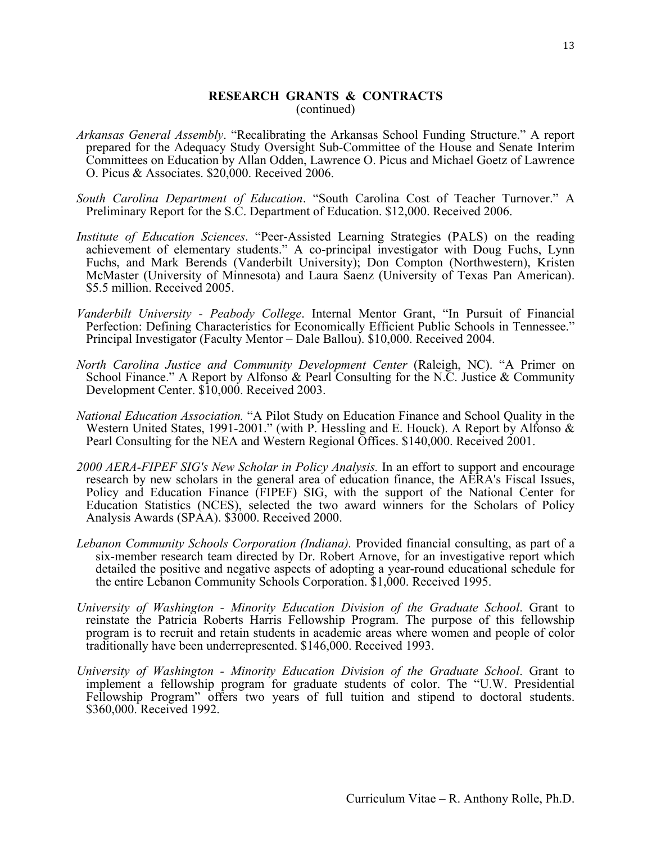### **RESEARCH GRANTS & CONTRACTS** (continued)

- *Arkansas General Assembly*. "Recalibrating the Arkansas School Funding Structure." A report prepared for the Adequacy Study Oversight Sub-Committee of the House and Senate Interim Committees on Education by Allan Odden, Lawrence O. Picus and Michael Goetz of Lawrence O. Picus & Associates. \$20,000. Received 2006.
- *South Carolina Department of Education*. "South Carolina Cost of Teacher Turnover." A Preliminary Report for the S.C. Department of Education. \$12,000. Received 2006.
- *Institute of Education Sciences*. "Peer-Assisted Learning Strategies (PALS) on the reading achievement of elementary students." A co-principal investigator with Doug Fuchs, Lynn Fuchs, and Mark Berends (Vanderbilt University); Don Compton (Northwestern), Kristen McMaster (University of Minnesota) and Laura Saenz (University of Texas Pan American). \$5.5 million. Received 2005.
- *Vanderbilt University - Peabody College*. Internal Mentor Grant, "In Pursuit of Financial Perfection: Defining Characteristics for Economically Efficient Public Schools in Tennessee." Principal Investigator (Faculty Mentor – Dale Ballou). \$10,000. Received 2004.
- *North Carolina Justice and Community Development Center* (Raleigh, NC). "A Primer on School Finance." A Report by Alfonso & Pearl Consulting for the N.C. Justice & Community Development Center. \$10,000. Received 2003.
- *National Education Association.* "A Pilot Study on Education Finance and School Quality in the Western United States, 1991-2001." (with P. Hessling and E. Houck). A Report by Alfonso & Pearl Consulting for the NEA and Western Regional Offices. \$140,000. Received 2001.
- *2000 AERA-FIPEF SIG's New Scholar in Policy Analysis.* In an effort to support and encourage research by new scholars in the general area of education finance, the AERA's Fiscal Issues, Policy and Education Finance (FIPEF) SIG, with the support of the National Center for Education Statistics (NCES), selected the two award winners for the Scholars of Policy Analysis Awards (SPAA). \$3000. Received 2000.
- *Lebanon Community Schools Corporation (Indiana).* Provided financial consulting, as part of a six-member research team directed by Dr. Robert Arnove, for an investigative report which detailed the positive and negative aspects of adopting a year-round educational schedule for the entire Lebanon Community Schools Corporation. \$1,000. Received 1995.
- *University of Washington - Minority Education Division of the Graduate School*. Grant to reinstate the Patricia Roberts Harris Fellowship Program. The purpose of this fellowship program is to recruit and retain students in academic areas where women and people of color traditionally have been underrepresented. \$146,000. Received 1993.
- *University of Washington - Minority Education Division of the Graduate School*. Grant to implement a fellowship program for graduate students of color. The "U.W. Presidential Fellowship Program" offers two years of full tuition and stipend to doctoral students. \$360,000. Received 1992.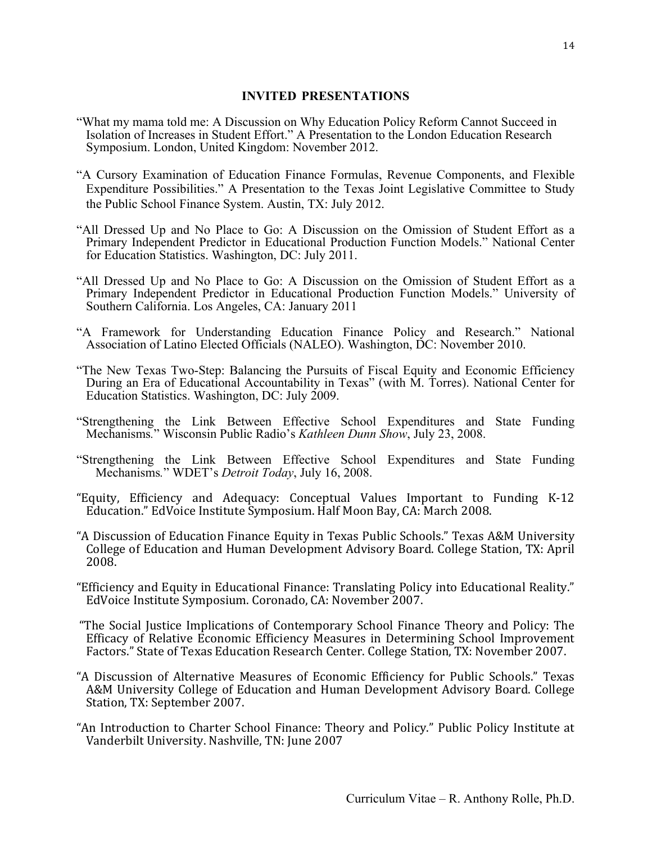### **INVITED PRESENTATIONS**

- "What my mama told me: A Discussion on Why Education Policy Reform Cannot Succeed in Isolation of Increases in Student Effort." A Presentation to the London Education Research Symposium. London, United Kingdom: November 2012.
- "A Cursory Examination of Education Finance Formulas, Revenue Components, and Flexible Expenditure Possibilities." A Presentation to the Texas Joint Legislative Committee to Study the Public School Finance System. Austin, TX: July 2012.
- "All Dressed Up and No Place to Go: A Discussion on the Omission of Student Effort as a Primary Independent Predictor in Educational Production Function Models." National Center for Education Statistics. Washington, DC: July 2011.
- "All Dressed Up and No Place to Go: A Discussion on the Omission of Student Effort as a Primary Independent Predictor in Educational Production Function Models." University of Southern California. Los Angeles, CA: January 2011
- "A Framework for Understanding Education Finance Policy and Research." National Association of Latino Elected Officials (NALEO). Washington, DC: November 2010.
- "The New Texas Two-Step: Balancing the Pursuits of Fiscal Equity and Economic Efficiency During an Era of Educational Accountability in Texas" (with M. Torres). National Center for Education Statistics. Washington, DC: July 2009.
- "Strengthening the Link Between Effective School Expenditures and State Funding Mechanisms*.*" Wisconsin Public Radio's *Kathleen Dunn Show*, July 23, 2008.
- "Strengthening the Link Between Effective School Expenditures and State Funding Mechanisms*.*" WDET's *Detroit Today*, July 16, 2008.
- "Equity, Efficiency and Adequacy: Conceptual Values Important to Funding K-12 Education." EdVoice Institute Symposium. Half Moon Bay, CA: March 2008.
- "A Discussion of Education Finance Equity in Texas Public Schools." Texas A&M University College of Education and Human Development Advisory Board. College Station, TX: April 2008.
- "Efficiency and Equity in Educational Finance: Translating Policy into Educational Reality." EdVoice Institute Symposium. Coronado, CA: November 2007.
- "The Social Justice Implications of Contemporary School Finance Theory and Policy: The Efficacy of Relative Economic Efficiency Measures in Determining School Improvement Factors." State of Texas Education Research Center. College Station, TX: November 2007.
- "A Discussion of Alternative Measures of Economic Efficiency for Public Schools." Texas A&M University College of Education and Human Development Advisory Board. College Station, TX: September 2007.
- "An Introduction to Charter School Finance: Theory and Policy." Public Policy Institute at Vanderbilt University. Nashville, TN: June 2007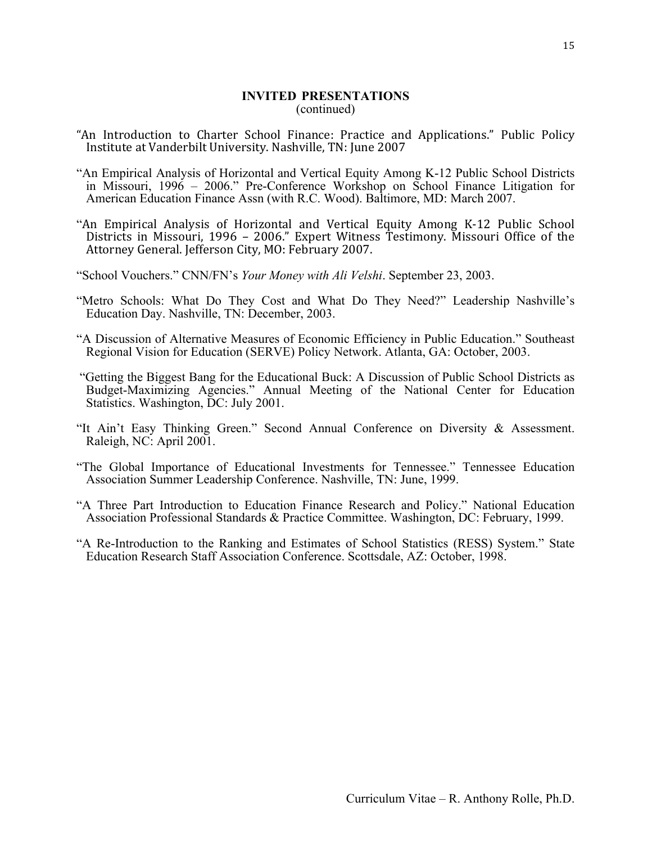#### **INVITED PRESENTATIONS** (continued)

- "An Introduction to Charter School Finance: Practice and Applications." Public Policy Institute at Vanderbilt University. Nashville, TN: June 2007
- "An Empirical Analysis of Horizontal and Vertical Equity Among K-12 Public School Districts in Missouri, 1996 – 2006." Pre-Conference Workshop on School Finance Litigation for American Education Finance Assn (with R.C. Wood). Baltimore, MD: March 2007.
- "An Empirical Analysis of Horizontal and Vertical Equity Among K-12 Public School Districts in Missouri, 1996 - 2006." Expert Witness Testimony. Missouri Office of the Attorney General. Jefferson City, MO: February 2007.
- "School Vouchers." CNN/FN's *Your Money with Ali Velshi*. September 23, 2003.
- "Metro Schools: What Do They Cost and What Do They Need?" Leadership Nashville's Education Day. Nashville, TN: December, 2003.
- "A Discussion of Alternative Measures of Economic Efficiency in Public Education." Southeast Regional Vision for Education (SERVE) Policy Network. Atlanta, GA: October, 2003.
- "Getting the Biggest Bang for the Educational Buck: A Discussion of Public School Districts as Budget-Maximizing Agencies." Annual Meeting of the National Center for Education Statistics. Washington, DC: July 2001.
- "It Ain't Easy Thinking Green." Second Annual Conference on Diversity & Assessment. Raleigh, NC: April 2001.
- "The Global Importance of Educational Investments for Tennessee." Tennessee Education Association Summer Leadership Conference. Nashville, TN: June, 1999.
- "A Three Part Introduction to Education Finance Research and Policy." National Education Association Professional Standards & Practice Committee. Washington, DC: February, 1999.
- "A Re-Introduction to the Ranking and Estimates of School Statistics (RESS) System." State Education Research Staff Association Conference. Scottsdale, AZ: October, 1998.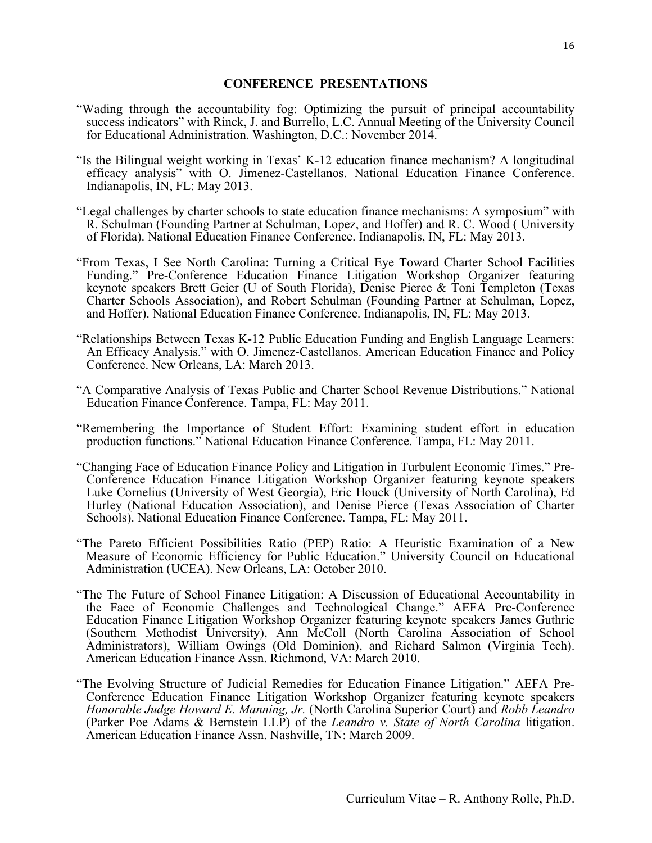### **CONFERENCE PRESENTATIONS**

- "Wading through the accountability fog: Optimizing the pursuit of principal accountability success indicators" with Rinck, J. and Burrello, L.C. Annual Meeting of the University Council for Educational Administration. Washington, D.C.: November 2014.
- "Is the Bilingual weight working in Texas' K-12 education finance mechanism? A longitudinal efficacy analysis" with O. Jimenez-Castellanos. National Education Finance Conference. Indianapolis, IN, FL: May 2013.
- "Legal challenges by charter schools to state education finance mechanisms: A symposium" with R. Schulman (Founding Partner at Schulman, Lopez, and Hoffer) and R. C. Wood ( University of Florida). National Education Finance Conference. Indianapolis, IN, FL: May 2013.
- "From Texas, I See North Carolina: Turning a Critical Eye Toward Charter School Facilities Funding." Pre-Conference Education Finance Litigation Workshop Organizer featuring keynote speakers Brett Geier (U of South Florida), Denise Pierce & Toni Templeton (Texas Charter Schools Association), and Robert Schulman (Founding Partner at Schulman, Lopez, and Hoffer). National Education Finance Conference. Indianapolis, IN, FL: May 2013.
- "Relationships Between Texas K-12 Public Education Funding and English Language Learners: An Efficacy Analysis." with O. Jimenez-Castellanos. American Education Finance and Policy Conference. New Orleans, LA: March 2013.
- "A Comparative Analysis of Texas Public and Charter School Revenue Distributions." National Education Finance Conference. Tampa, FL: May 2011.
- "Remembering the Importance of Student Effort: Examining student effort in education production functions." National Education Finance Conference. Tampa, FL: May 2011.
- "Changing Face of Education Finance Policy and Litigation in Turbulent Economic Times." Pre-Conference Education Finance Litigation Workshop Organizer featuring keynote speakers Luke Cornelius (University of West Georgia), Eric Houck (University of North Carolina), Ed Hurley (National Education Association), and Denise Pierce (Texas Association of Charter Schools). National Education Finance Conference. Tampa, FL: May 2011.
- "The Pareto Efficient Possibilities Ratio (PEP) Ratio: A Heuristic Examination of a New Measure of Economic Efficiency for Public Education." University Council on Educational Administration (UCEA). New Orleans, LA: October 2010.
- "The The Future of School Finance Litigation: A Discussion of Educational Accountability in the Face of Economic Challenges and Technological Change." AEFA Pre-Conference Education Finance Litigation Workshop Organizer featuring keynote speakers James Guthrie (Southern Methodist University), Ann McColl (North Carolina Association of School Administrators), William Owings (Old Dominion), and Richard Salmon (Virginia Tech). American Education Finance Assn. Richmond, VA: March 2010.
- "The Evolving Structure of Judicial Remedies for Education Finance Litigation." AEFA Pre-Conference Education Finance Litigation Workshop Organizer featuring keynote speakers *Honorable Judge Howard E. Manning, Jr.* (North Carolina Superior Court) and *Robb Leandro* (Parker Poe Adams & Bernstein LLP) of the *Leandro v. State of North Carolina* litigation. American Education Finance Assn. Nashville, TN: March 2009.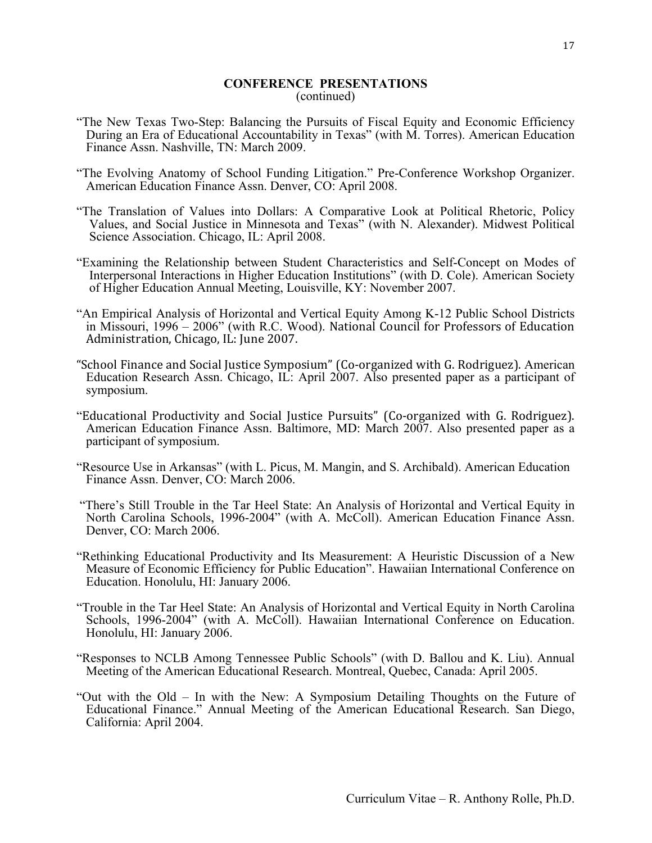### **CONFERENCE PRESENTATIONS** (continued)

- "The New Texas Two-Step: Balancing the Pursuits of Fiscal Equity and Economic Efficiency During an Era of Educational Accountability in Texas" (with M. Torres). American Education Finance Assn. Nashville, TN: March 2009.
- "The Evolving Anatomy of School Funding Litigation." Pre-Conference Workshop Organizer. American Education Finance Assn. Denver, CO: April 2008.
- "The Translation of Values into Dollars: A Comparative Look at Political Rhetoric, Policy Values, and Social Justice in Minnesota and Texas" (with N. Alexander). Midwest Political Science Association. Chicago, IL: April 2008.
- "Examining the Relationship between Student Characteristics and Self-Concept on Modes of Interpersonal Interactions in Higher Education Institutions" (with D. Cole). American Society of Higher Education Annual Meeting, Louisville, KY: November 2007.
- "An Empirical Analysis of Horizontal and Vertical Equity Among K-12 Public School Districts in Missouri,  $1996 - 2006$ " (with R.C. Wood). National Council for Professors of Education Administration, Chicago, IL: June 2007.
- "School Finance and Social Justice Symposium" (Co-organized with G. Rodriguez). American Education Research Assn. Chicago, IL: April 2007. Also presented paper as a participant of symposium.
- "Educational Productivity and Social Justice Pursuits" (Co-organized with G. Rodriguez). American Education Finance Assn. Baltimore, MD: March 2007. Also presented paper as a participant of symposium.
- "Resource Use in Arkansas" (with L. Picus, M. Mangin, and S. Archibald). American Education Finance Assn. Denver, CO: March 2006.
- "There's Still Trouble in the Tar Heel State: An Analysis of Horizontal and Vertical Equity in North Carolina Schools, 1996-2004" (with A. McColl). American Education Finance Assn. Denver, CO: March 2006.
- "Rethinking Educational Productivity and Its Measurement: A Heuristic Discussion of a New Measure of Economic Efficiency for Public Education". Hawaiian International Conference on Education. Honolulu, HI: January 2006.
- "Trouble in the Tar Heel State: An Analysis of Horizontal and Vertical Equity in North Carolina Schools, 1996-2004" (with A. McColl). Hawaiian International Conference on Education. Honolulu, HI: January 2006.
- "Responses to NCLB Among Tennessee Public Schools" (with D. Ballou and K. Liu). Annual Meeting of the American Educational Research. Montreal, Quebec, Canada: April 2005.
- "Out with the Old In with the New: A Symposium Detailing Thoughts on the Future of Educational Finance." Annual Meeting of the American Educational Research. San Diego, California: April 2004.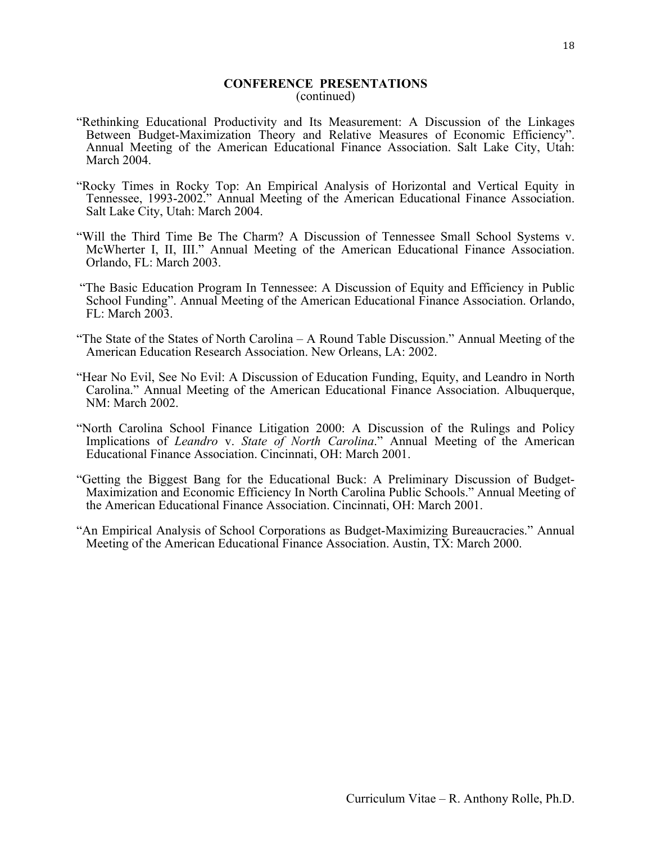### **CONFERENCE PRESENTATIONS** (continued)

- "Rethinking Educational Productivity and Its Measurement: A Discussion of the Linkages Between Budget-Maximization Theory and Relative Measures of Economic Efficiency". Annual Meeting of the American Educational Finance Association. Salt Lake City, Utah: March 2004.
- "Rocky Times in Rocky Top: An Empirical Analysis of Horizontal and Vertical Equity in Tennessee, 1993-2002." Annual Meeting of the American Educational Finance Association. Salt Lake City, Utah: March 2004.
- "Will the Third Time Be The Charm? A Discussion of Tennessee Small School Systems v. McWherter I, II, III." Annual Meeting of the American Educational Finance Association. Orlando, FL: March 2003.
- "The Basic Education Program In Tennessee: A Discussion of Equity and Efficiency in Public School Funding". Annual Meeting of the American Educational Finance Association. Orlando, FL: March 2003.
- "The State of the States of North Carolina A Round Table Discussion." Annual Meeting of the American Education Research Association. New Orleans, LA: 2002.
- "Hear No Evil, See No Evil: A Discussion of Education Funding, Equity, and Leandro in North Carolina." Annual Meeting of the American Educational Finance Association. Albuquerque, NM: March 2002.
- "North Carolina School Finance Litigation 2000: A Discussion of the Rulings and Policy Implications of *Leandro* v. *State of North Carolina*." Annual Meeting of the American Educational Finance Association. Cincinnati, OH: March 2001.
- "Getting the Biggest Bang for the Educational Buck: A Preliminary Discussion of Budget-Maximization and Economic Efficiency In North Carolina Public Schools." Annual Meeting of the American Educational Finance Association. Cincinnati, OH: March 2001.
- "An Empirical Analysis of School Corporations as Budget-Maximizing Bureaucracies." Annual Meeting of the American Educational Finance Association. Austin, TX: March 2000.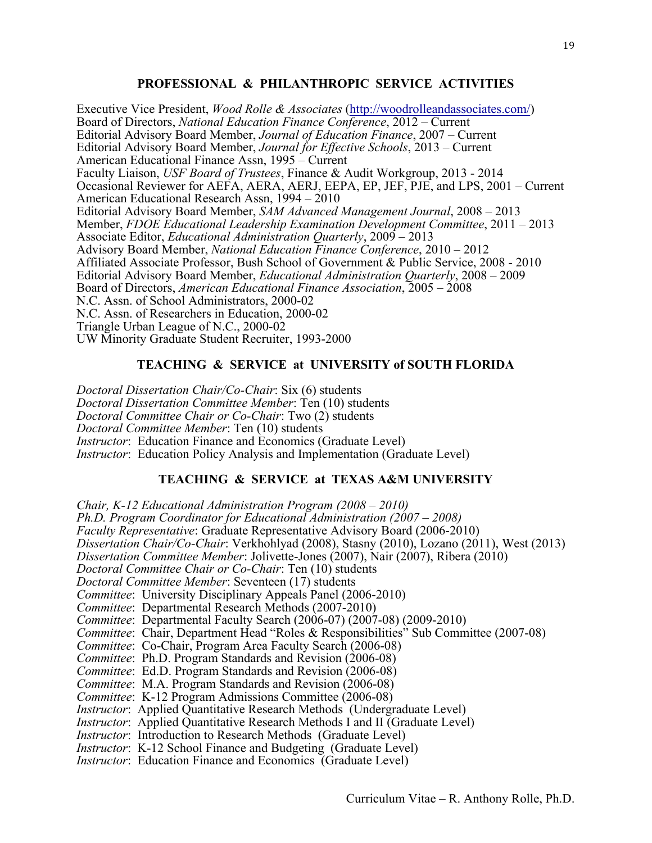# **PROFESSIONAL & PHILANTHROPIC SERVICE ACTIVITIES**

Executive Vice President, *Wood Rolle & Associates* (http://woodrolleandassociates.com/) Board of Directors, *National Education Finance Conference*, 2012 – Current Editorial Advisory Board Member, *Journal of Education Finance*, 2007 – Current Editorial Advisory Board Member, *Journal for Effective Schools*, 2013 – Current American Educational Finance Assn, 1995 – Current Faculty Liaison, *USF Board of Trustees*, Finance & Audit Workgroup, 2013 - 2014 Occasional Reviewer for AEFA, AERA, AERJ, EEPA, EP, JEF, PJE, and LPS, 2001 – Current American Educational Research Assn, 1994 – 2010 Editorial Advisory Board Member, *SAM Advanced Management Journal*, 2008 – 2013 Member, *FDOE Educational Leadership Examination Development Committee*, 2011 – 2013 Associate Editor, *Educational Administration Quarterly*, 2009 – 2013 Advisory Board Member, *National Education Finance Conference*, 2010 – 2012 Affiliated Associate Professor, Bush School of Government & Public Service, 2008 - 2010 Editorial Advisory Board Member, *Educational Administration Quarterly*, 2008 – 2009 Board of Directors, *American Educational Finance Association*, 2005 – 2008 N.C. Assn. of School Administrators, 2000-02 N.C. Assn. of Researchers in Education, 2000-02 Triangle Urban League of N.C., 2000-02 UW Minority Graduate Student Recruiter, 1993-2000

### **TEACHING & SERVICE at UNIVERSITY of SOUTH FLORIDA**

*Doctoral Dissertation Chair/Co-Chair*: Six (6) students *Doctoral Dissertation Committee Member*: Ten (10) students *Doctoral Committee Chair or Co-Chair*: Two (2) students *Doctoral Committee Member*: Ten (10) students *Instructor*: Education Finance and Economics (Graduate Level) *Instructor*: Education Policy Analysis and Implementation (Graduate Level)

# **TEACHING & SERVICE at TEXAS A&M UNIVERSITY**

*Chair, K-12 Educational Administration Program (2008 – 2010) Ph.D. Program Coordinator for Educational Administration (2007 – 2008) Faculty Representative*: Graduate Representative Advisory Board (2006-2010) *Dissertation Chair/Co-Chair*: Verkhohlyad (2008), Stasny (2010), Lozano (2011), West (2013) *Dissertation Committee Member*: Jolivette-Jones (2007), Nair (2007), Ribera (2010) *Doctoral Committee Chair or Co-Chair*: Ten (10) students *Doctoral Committee Member*: Seventeen (17) students *Committee*: University Disciplinary Appeals Panel (2006-2010) *Committee*: Departmental Research Methods (2007-2010) *Committee*: Departmental Faculty Search (2006-07) (2007-08) (2009-2010) *Committee*: Chair, Department Head "Roles & Responsibilities" Sub Committee (2007-08) *Committee*: Co-Chair, Program Area Faculty Search (2006-08) *Committee*: Ph.D. Program Standards and Revision (2006-08) *Committee*: Ed.D. Program Standards and Revision (2006-08) *Committee*: M.A. Program Standards and Revision (2006-08) *Committee*: K-12 Program Admissions Committee (2006-08) *Instructor*: Applied Quantitative Research Methods (Undergraduate Level) *Instructor*: Applied Quantitative Research Methods I and II (Graduate Level) *Instructor*: Introduction to Research Methods (Graduate Level) *Instructor*: K-12 School Finance and Budgeting (Graduate Level) *Instructor*: Education Finance and Economics (Graduate Level)